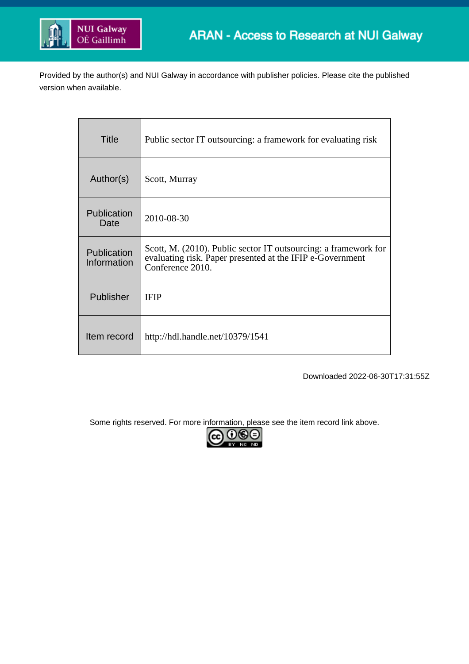

Provided by the author(s) and NUI Galway in accordance with publisher policies. Please cite the published version when available.

| Title                      | Public sector IT outsourcing: a framework for evaluating risk                                                                                    |
|----------------------------|--------------------------------------------------------------------------------------------------------------------------------------------------|
| Author(s)                  | Scott, Murray                                                                                                                                    |
| Publication<br>Date        | 2010-08-30                                                                                                                                       |
| Publication<br>Information | Scott, M. (2010). Public sector IT outsourcing: a framework for<br>evaluating risk. Paper presented at the IFIP e-Government<br>Conference 2010. |
| Publisher                  | <b>IFIP</b>                                                                                                                                      |
| Item record                | http://hdl.handle.net/10379/1541                                                                                                                 |

Downloaded 2022-06-30T17:31:55Z

Some rights reserved. For more information, please see the item record link above.

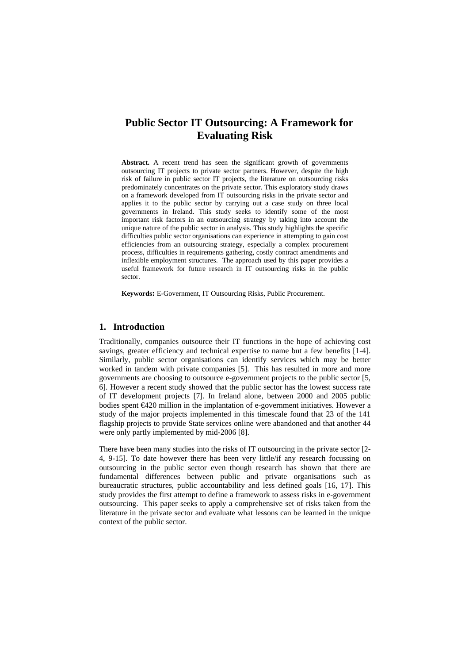# **Public Sector IT Outsourcing: A Framework for Evaluating Risk**

**Abstract.** A recent trend has seen the significant growth of governments outsourcing IT projects to private sector partners. However, despite the high risk of failure in public sector IT projects, the literature on outsourcing risks predominately concentrates on the private sector. This exploratory study draws on a framework developed from IT outsourcing risks in the private sector and applies it to the public sector by carrying out a case study on three local governments in Ireland. This study seeks to identify some of the most important risk factors in an outsourcing strategy by taking into account the unique nature of the public sector in analysis. This study highlights the specific difficulties public sector organisations can experience in attempting to gain cost efficiencies from an outsourcing strategy, especially a complex procurement process, difficulties in requirements gathering, costly contract amendments and inflexible employment structures. The approach used by this paper provides a useful framework for future research in IT outsourcing risks in the public sector.

**Keywords:** E-Government, IT Outsourcing Risks, Public Procurement.

### **1. Introduction**

Traditionally, companies outsource their IT functions in the hope of achieving cost savings, greater efficiency and technical expertise to name but a few benefits [1-4]. Similarly, public sector organisations can identify services which may be better worked in tandem with private companies [5]. This has resulted in more and more governments are choosing to outsource e-government projects to the public sector [5, 6]. However a recent study showed that the public sector has the lowest success rate of IT development projects [7]. In Ireland alone, between 2000 and 2005 public bodies spent €420 million in the implantation of e-government initiatives. However a study of the major projects implemented in this timescale found that 23 of the 141 flagship projects to provide State services online were abandoned and that another 44 were only partly implemented by mid-2006 [8].

There have been many studies into the risks of IT outsourcing in the private sector [2- 4, 9-15]. To date however there has been very little/if any research focussing on outsourcing in the public sector even though research has shown that there are fundamental differences between public and private organisations such as bureaucratic structures, public accountability and less defined goals [16, 17]. This study provides the first attempt to define a framework to assess risks in e-government outsourcing. This paper seeks to apply a comprehensive set of risks taken from the literature in the private sector and evaluate what lessons can be learned in the unique context of the public sector.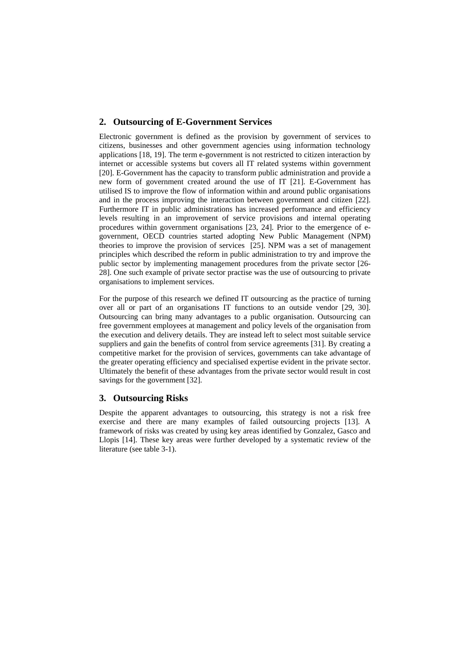### **2. Outsourcing of E-Government Services**

Electronic government is defined as the provision by government of services to citizens, businesses and other government agencies using information technology applications [18, 19]. The term e-government is not restricted to citizen interaction by internet or accessible systems but covers all IT related systems within government [20]. E-Government has the capacity to transform public administration and provide a new form of government created around the use of IT [21]. E-Government has utilised IS to improve the flow of information within and around public organisations and in the process improving the interaction between government and citizen [22]. Furthermore IT in public administrations has increased performance and efficiency levels resulting in an improvement of service provisions and internal operating procedures within government organisations [23, 24]. Prior to the emergence of egovernment, OECD countries started adopting New Public Management (NPM) theories to improve the provision of services [25]. NPM was a set of management principles which described the reform in public administration to try and improve the public sector by implementing management procedures from the private sector [26- 28]. One such example of private sector practise was the use of outsourcing to private organisations to implement services.

For the purpose of this research we defined IT outsourcing as the practice of turning over all or part of an organisations IT functions to an outside vendor [29, 30]. Outsourcing can bring many advantages to a public organisation. Outsourcing can free government employees at management and policy levels of the organisation from the execution and delivery details. They are instead left to select most suitable service suppliers and gain the benefits of control from service agreements [31]. By creating a competitive market for the provision of services, governments can take advantage of the greater operating efficiency and specialised expertise evident in the private sector. Ultimately the benefit of these advantages from the private sector would result in cost savings for the government [32].

#### **3. Outsourcing Risks**

Despite the apparent advantages to outsourcing, this strategy is not a risk free exercise and there are many examples of failed outsourcing projects [13]. A framework of risks was created by using key areas identified by Gonzalez, Gasco and Llopis [14]. These key areas were further developed by a systematic review of the literature (see table 3-1).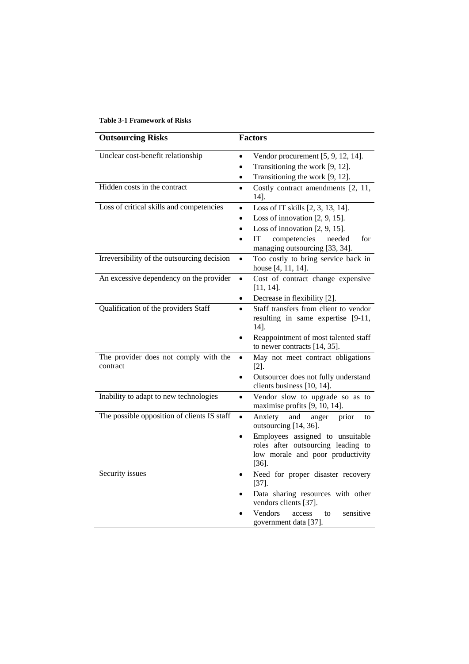| <b>Outsourcing Risks</b>                          | <b>Factors</b>                                                                                      |
|---------------------------------------------------|-----------------------------------------------------------------------------------------------------|
| Unclear cost-benefit relationship                 | Vendor procurement $[5, 9, 12, 14]$ .<br>$\bullet$                                                  |
|                                                   | Transitioning the work [9, 12].<br>$\bullet$                                                        |
|                                                   | Transitioning the work [9, 12].<br>$\bullet$                                                        |
| Hidden costs in the contract                      | Costly contract amendments [2, 11,<br>$\bullet$<br>$14$ ].                                          |
| Loss of critical skills and competencies          | Loss of IT skills [2, 3, 13, 14].<br>$\bullet$                                                      |
|                                                   | Loss of innovation $[2, 9, 15]$ .<br>$\bullet$                                                      |
|                                                   | Loss of innovation $[2, 9, 15]$ .<br>$\bullet$                                                      |
|                                                   | IT<br>competencies<br>for<br>needed<br>$\bullet$<br>managing outsourcing [33, 34].                  |
| Irreversibility of the outsourcing decision       | Too costly to bring service back in<br>$\bullet$                                                    |
|                                                   | house [4, 11, 14].                                                                                  |
| An excessive dependency on the provider           | Cost of contract change expensive<br>$\bullet$                                                      |
|                                                   | $[11, 14]$ .                                                                                        |
|                                                   | Decrease in flexibility [2].<br>$\bullet$                                                           |
| Qualification of the providers Staff              | Staff transfers from client to vendor<br>$\bullet$<br>resulting in same expertise [9-11,<br>$14$ ]. |
|                                                   | Reappointment of most talented staff<br>$\bullet$<br>to newer contracts [14, 35].                   |
| The provider does not comply with the<br>contract | May not meet contract obligations<br>$\bullet$<br>$[2]$ .                                           |
|                                                   | Outsourcer does not fully understand<br>$\bullet$<br>clients business [10, 14].                     |
| Inability to adapt to new technologies            | Vendor slow to upgrade so as to<br>$\bullet$<br>maximise profits [9, 10, 14].                       |
| The possible opposition of clients IS staff       | Anxiety<br>and<br>prior<br>$\bullet$<br>anger<br>to<br>outsourcing [14, 36].                        |
|                                                   | Employees assigned to unsuitable<br>$\bullet$                                                       |
|                                                   | roles after outsourcing leading to                                                                  |
|                                                   | low morale and poor productivity<br>$[36]$ .                                                        |
| Security issues                                   | Need for proper disaster recovery<br>$\bullet$<br>$[37]$ .                                          |
|                                                   | Data sharing resources with other<br>$\bullet$<br>vendors clients [37].                             |
|                                                   | Vendors<br>sensitive<br>access<br>to<br>government data [37].                                       |

# **Table 3-1 Framework of Risks**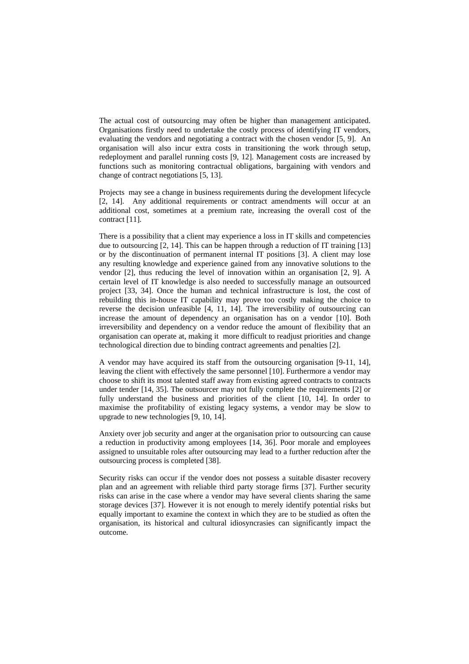The actual cost of outsourcing may often be higher than management anticipated. Organisations firstly need to undertake the costly process of identifying IT vendors, evaluating the vendors and negotiating a contract with the chosen vendor [5, 9]. An organisation will also incur extra costs in transitioning the work through setup, redeployment and parallel running costs [9, 12]. Management costs are increased by functions such as monitoring contractual obligations, bargaining with vendors and change of contract negotiations [5, 13].

Projects may see a change in business requirements during the development lifecycle [2, 14]. Any additional requirements or contract amendments will occur at an additional cost, sometimes at a premium rate, increasing the overall cost of the contract [11].

There is a possibility that a client may experience a loss in IT skills and competencies due to outsourcing [2, 14]. This can be happen through a reduction of IT training [13] or by the discontinuation of permanent internal IT positions [3]. A client may lose any resulting knowledge and experience gained from any innovative solutions to the vendor [2], thus reducing the level of innovation within an organisation [2, 9]. A certain level of IT knowledge is also needed to successfully manage an outsourced project [33, 34]. Once the human and technical infrastructure is lost, the cost of rebuilding this in-house IT capability may prove too costly making the choice to reverse the decision unfeasible [4, 11, 14]. The irreversibility of outsourcing can increase the amount of dependency an organisation has on a vendor [10]. Both irreversibility and dependency on a vendor reduce the amount of flexibility that an organisation can operate at, making it more difficult to readjust priorities and change technological direction due to binding contract agreements and penalties [2].

A vendor may have acquired its staff from the outsourcing organisation [9-11, 14], leaving the client with effectively the same personnel [10]. Furthermore a vendor may choose to shift its most talented staff away from existing agreed contracts to contracts under tender [14, 35]. The outsourcer may not fully complete the requirements [2] or fully understand the business and priorities of the client [10, 14]. In order to maximise the profitability of existing legacy systems, a vendor may be slow to upgrade to new technologies [9, 10, 14].

Anxiety over job security and anger at the organisation prior to outsourcing can cause a reduction in productivity among employees [14, 36]. Poor morale and employees assigned to unsuitable roles after outsourcing may lead to a further reduction after the outsourcing process is completed [38].

Security risks can occur if the vendor does not possess a suitable disaster recovery plan and an agreement with reliable third party storage firms [37]. Further security risks can arise in the case where a vendor may have several clients sharing the same storage devices [37]. However it is not enough to merely identify potential risks but equally important to examine the context in which they are to be studied as often the organisation, its historical and cultural idiosyncrasies can significantly impact the outcome.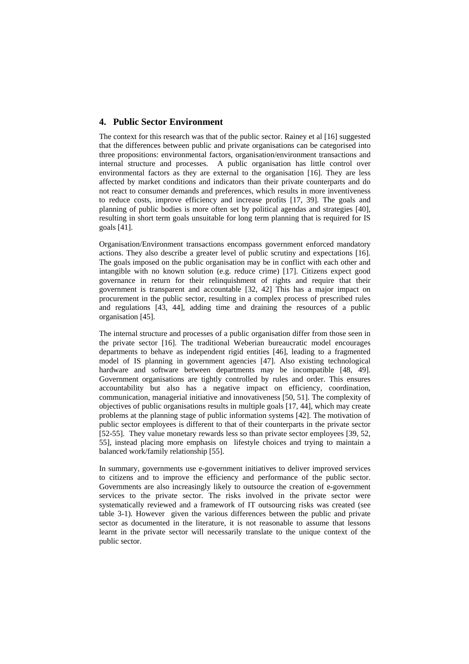# **4. Public Sector Environment**

The context for this research was that of the public sector. Rainey et al [16] suggested that the differences between public and private organisations can be categorised into three propositions: environmental factors, organisation/environment transactions and internal structure and processes. A public organisation has little control over environmental factors as they are external to the organisation [16]. They are less affected by market conditions and indicators than their private counterparts and do not react to consumer demands and preferences, which results in more inventiveness to reduce costs, improve efficiency and increase profits [17, 39]. The goals and planning of public bodies is more often set by political agendas and strategies [40], resulting in short term goals unsuitable for long term planning that is required for IS goals [41].

Organisation/Environment transactions encompass government enforced mandatory actions. They also describe a greater level of public scrutiny and expectations [16]. The goals imposed on the public organisation may be in conflict with each other and intangible with no known solution (e.g. reduce crime) [17]. Citizens expect good governance in return for their relinquishment of rights and require that their government is transparent and accountable [32, 42] This has a major impact on procurement in the public sector, resulting in a complex process of prescribed rules and regulations [43, 44], adding time and draining the resources of a public organisation [45].

The internal structure and processes of a public organisation differ from those seen in the private sector [16]. The traditional Weberian bureaucratic model encourages departments to behave as independent rigid entities [46], leading to a fragmented model of IS planning in government agencies [47]. Also existing technological hardware and software between departments may be incompatible [48, 49]. Government organisations are tightly controlled by rules and order. This ensures accountability but also has a negative impact on efficiency, coordination, communication, managerial initiative and innovativeness [50, 51]. The complexity of objectives of public organisations results in multiple goals [17, 44], which may create problems at the planning stage of public information systems [42]. The motivation of public sector employees is different to that of their counterparts in the private sector [52-55]. They value monetary rewards less so than private sector employees [39, 52, 55], instead placing more emphasis on lifestyle choices and trying to maintain a balanced work/family relationship [55].

In summary, governments use e-government initiatives to deliver improved services to citizens and to improve the efficiency and performance of the public sector. Governments are also increasingly likely to outsource the creation of e-government services to the private sector. The risks involved in the private sector were systematically reviewed and a framework of IT outsourcing risks was created (see table 3-1). However given the various differences between the public and private sector as documented in the literature, it is not reasonable to assume that lessons learnt in the private sector will necessarily translate to the unique context of the public sector.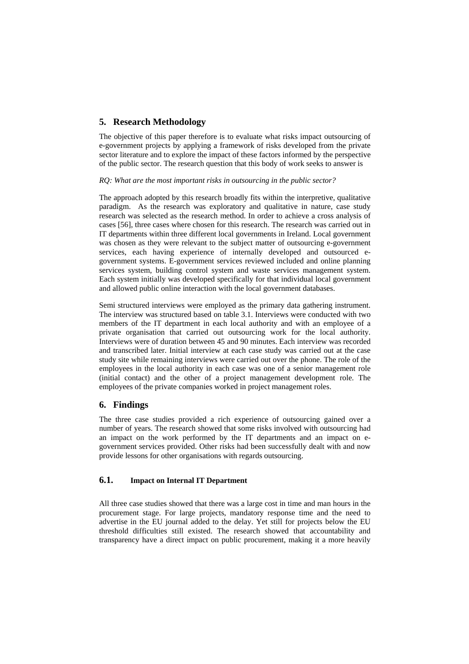# **5. Research Methodology**

The objective of this paper therefore is to evaluate what risks impact outsourcing of e-government projects by applying a framework of risks developed from the private sector literature and to explore the impact of these factors informed by the perspective of the public sector. The research question that this body of work seeks to answer is

#### *RQ: What are the most important risks in outsourcing in the public sector?*

The approach adopted by this research broadly fits within the interpretive, qualitative paradigm. As the research was exploratory and qualitative in nature, case study research was selected as the research method. In order to achieve a cross analysis of cases [56], three cases where chosen for this research. The research was carried out in IT departments within three different local governments in Ireland. Local government was chosen as they were relevant to the subject matter of outsourcing e-government services, each having experience of internally developed and outsourced egovernment systems. E-government services reviewed included and online planning services system, building control system and waste services management system. Each system initially was developed specifically for that individual local government and allowed public online interaction with the local government databases.

Semi structured interviews were employed as the primary data gathering instrument. The interview was structured based on table 3.1. Interviews were conducted with two members of the IT department in each local authority and with an employee of a private organisation that carried out outsourcing work for the local authority. Interviews were of duration between 45 and 90 minutes. Each interview was recorded and transcribed later. Initial interview at each case study was carried out at the case study site while remaining interviews were carried out over the phone. The role of the employees in the local authority in each case was one of a senior management role (initial contact) and the other of a project management development role. The employees of the private companies worked in project management roles.

# **6. Findings**

The three case studies provided a rich experience of outsourcing gained over a number of years. The research showed that some risks involved with outsourcing had an impact on the work performed by the IT departments and an impact on egovernment services provided. Other risks had been successfully dealt with and now provide lessons for other organisations with regards outsourcing.

# **6.1. Impact on Internal IT Department**

All three case studies showed that there was a large cost in time and man hours in the procurement stage. For large projects, mandatory response time and the need to advertise in the EU journal added to the delay. Yet still for projects below the EU threshold difficulties still existed. The research showed that accountability and transparency have a direct impact on public procurement, making it a more heavily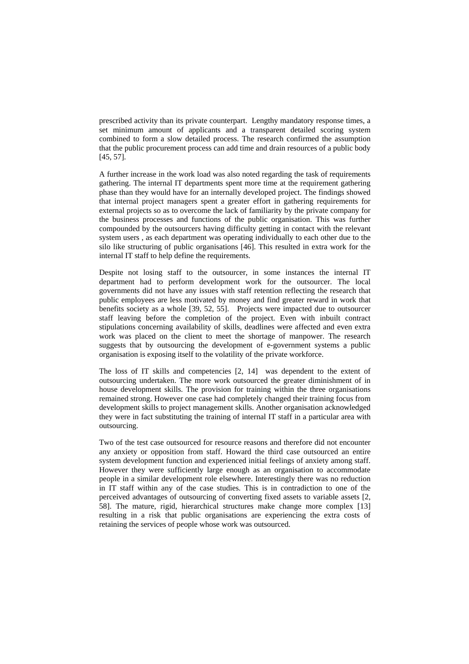prescribed activity than its private counterpart. Lengthy mandatory response times, a set minimum amount of applicants and a transparent detailed scoring system combined to form a slow detailed process. The research confirmed the assumption that the public procurement process can add time and drain resources of a public body [45, 57].

A further increase in the work load was also noted regarding the task of requirements gathering. The internal IT departments spent more time at the requirement gathering phase than they would have for an internally developed project. The findings showed that internal project managers spent a greater effort in gathering requirements for external projects so as to overcome the lack of familiarity by the private company for the business processes and functions of the public organisation. This was further compounded by the outsourcers having difficulty getting in contact with the relevant system users , as each department was operating individually to each other due to the silo like structuring of public organisations [46]. This resulted in extra work for the internal IT staff to help define the requirements.

Despite not losing staff to the outsourcer, in some instances the internal IT department had to perform development work for the outsourcer. The local governments did not have any issues with staff retention reflecting the research that public employees are less motivated by money and find greater reward in work that benefits society as a whole [39, 52, 55]. Projects were impacted due to outsourcer staff leaving before the completion of the project. Even with inbuilt contract stipulations concerning availability of skills, deadlines were affected and even extra work was placed on the client to meet the shortage of manpower. The research suggests that by outsourcing the development of e-government systems a public organisation is exposing itself to the volatility of the private workforce.

The loss of IT skills and competencies [2, 14] was dependent to the extent of outsourcing undertaken. The more work outsourced the greater diminishment of in house development skills. The provision for training within the three organisations remained strong. However one case had completely changed their training focus from development skills to project management skills. Another organisation acknowledged they were in fact substituting the training of internal IT staff in a particular area with outsourcing.

Two of the test case outsourced for resource reasons and therefore did not encounter any anxiety or opposition from staff. Howard the third case outsourced an entire system development function and experienced initial feelings of anxiety among staff. However they were sufficiently large enough as an organisation to accommodate people in a similar development role elsewhere. Interestingly there was no reduction in IT staff within any of the case studies. This is in contradiction to one of the perceived advantages of outsourcing of converting fixed assets to variable assets [2, 58]. The mature, rigid, hierarchical structures make change more complex [13] resulting in a risk that public organisations are experiencing the extra costs of retaining the services of people whose work was outsourced.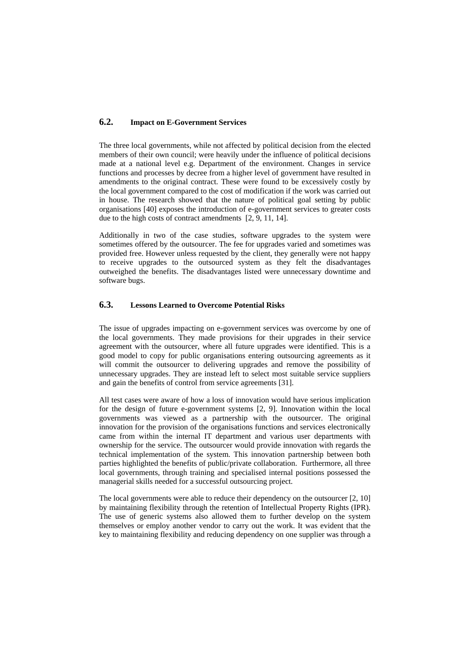# **6.2. Impact on E-Government Services**

The three local governments, while not affected by political decision from the elected members of their own council; were heavily under the influence of political decisions made at a national level e.g. Department of the environment. Changes in service functions and processes by decree from a higher level of government have resulted in amendments to the original contract. These were found to be excessively costly by the local government compared to the cost of modification if the work was carried out in house. The research showed that the nature of political goal setting by public organisations [40] exposes the introduction of e-government services to greater costs due to the high costs of contract amendments [2, 9, 11, 14].

Additionally in two of the case studies, software upgrades to the system were sometimes offered by the outsourcer. The fee for upgrades varied and sometimes was provided free. However unless requested by the client, they generally were not happy to receive upgrades to the outsourced system as they felt the disadvantages outweighed the benefits. The disadvantages listed were unnecessary downtime and software bugs.

### **6.3. Lessons Learned to Overcome Potential Risks**

The issue of upgrades impacting on e-government services was overcome by one of the local governments. They made provisions for their upgrades in their service agreement with the outsourcer, where all future upgrades were identified. This is a good model to copy for public organisations entering outsourcing agreements as it will commit the outsourcer to delivering upgrades and remove the possibility of unnecessary upgrades. They are instead left to select most suitable service suppliers and gain the benefits of control from service agreements [31].

All test cases were aware of how a loss of innovation would have serious implication for the design of future e-government systems [2, 9]. Innovation within the local governments was viewed as a partnership with the outsourcer. The original innovation for the provision of the organisations functions and services electronically came from within the internal IT department and various user departments with ownership for the service. The outsourcer would provide innovation with regards the technical implementation of the system. This innovation partnership between both parties highlighted the benefits of public/private collaboration. Furthermore, all three local governments, through training and specialised internal positions possessed the managerial skills needed for a successful outsourcing project.

The local governments were able to reduce their dependency on the outsourcer [2, 10] by maintaining flexibility through the retention of Intellectual Property Rights (IPR). The use of generic systems also allowed them to further develop on the system themselves or employ another vendor to carry out the work. It was evident that the key to maintaining flexibility and reducing dependency on one supplier was through a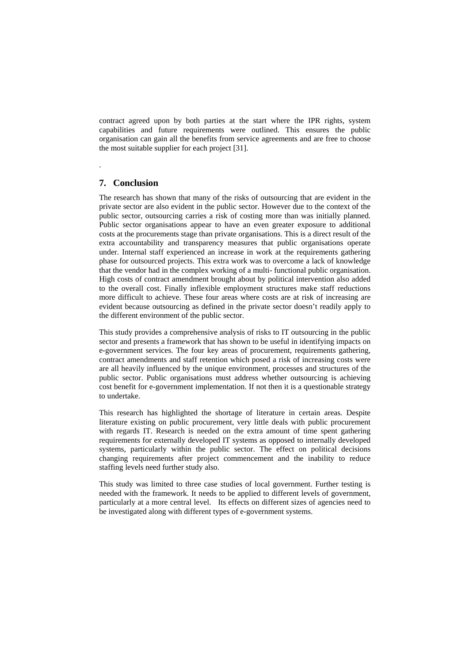contract agreed upon by both parties at the start where the IPR rights, system capabilities and future requirements were outlined. This ensures the public organisation can gain all the benefits from service agreements and are free to choose the most suitable supplier for each project [31].

# **7. Conclusion**

.

The research has shown that many of the risks of outsourcing that are evident in the private sector are also evident in the public sector. However due to the context of the public sector, outsourcing carries a risk of costing more than was initially planned. Public sector organisations appear to have an even greater exposure to additional costs at the procurements stage than private organisations. This is a direct result of the extra accountability and transparency measures that public organisations operate under. Internal staff experienced an increase in work at the requirements gathering phase for outsourced projects. This extra work was to overcome a lack of knowledge that the vendor had in the complex working of a multi- functional public organisation. High costs of contract amendment brought about by political intervention also added to the overall cost. Finally inflexible employment structures make staff reductions more difficult to achieve. These four areas where costs are at risk of increasing are evident because outsourcing as defined in the private sector doesn't readily apply to the different environment of the public sector.

This study provides a comprehensive analysis of risks to IT outsourcing in the public sector and presents a framework that has shown to be useful in identifying impacts on e-government services. The four key areas of procurement, requirements gathering, contract amendments and staff retention which posed a risk of increasing costs were are all heavily influenced by the unique environment, processes and structures of the public sector. Public organisations must address whether outsourcing is achieving cost benefit for e-government implementation. If not then it is a questionable strategy to undertake.

This research has highlighted the shortage of literature in certain areas. Despite literature existing on public procurement, very little deals with public procurement with regards IT. Research is needed on the extra amount of time spent gathering requirements for externally developed IT systems as opposed to internally developed systems, particularly within the public sector. The effect on political decisions changing requirements after project commencement and the inability to reduce staffing levels need further study also.

This study was limited to three case studies of local government. Further testing is needed with the framework. It needs to be applied to different levels of government, particularly at a more central level. Its effects on different sizes of agencies need to be investigated along with different types of e-government systems.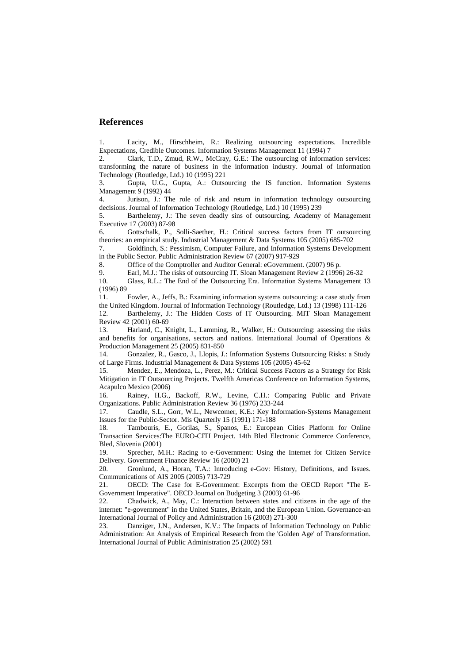#### **References**

1. Lacity, M., Hirschheim, R.: Realizing outsourcing expectations. Incredible Expectations, Credible Outcomes. Information Systems Management 11 (1994) 7

2. Clark, T.D., Zmud, R.W., McCray, G.E.: The outsourcing of information services: transforming the nature of business in the information industry. Journal of Information Technology (Routledge, Ltd.) 10 (1995) 221

3. Gupta, U.G., Gupta, A.: Outsourcing the IS function. Information Systems Management 9 (1992) 44

4. Jurison, J.: The role of risk and return in information technology outsourcing decisions. Journal of Information Technology (Routledge, Ltd.) 10 (1995) 239

5. Barthelemy, J.: The seven deadly sins of outsourcing. Academy of Management Executive 17 (2003) 87-98

6. Gottschalk, P., Solli-Saether, H.: Critical success factors from IT outsourcing theories: an empirical study. Industrial Management & Data Systems 105 (2005) 685-702

7. Goldfinch, S.: Pessimism, Computer Failure, and Information Systems Development in the Public Sector. Public Administration Review 67 (2007) 917-929

8. Office of the Comptroller and Auditor General: eGovernment. (2007) 96 p.

9. Earl, M.J.: The risks of outsourcing IT. Sloan Management Review 2 (1996) 26-32 10. Glass, R.L.: The End of the Outsourcing Era. Information Systems Management 13 (1996) 89

11. Fowler, A., Jeffs, B.: Examining information systems outsourcing: a case study from the United Kingdom. Journal of Information Technology (Routledge, Ltd.) 13 (1998) 111-126 12. Barthelemy, J.: The Hidden Costs of IT Outsourcing. MIT Sloan Management Review 42 (2001) 60-69

13. Harland, C., Knight, L., Lamming, R., Walker, H.: Outsourcing: assessing the risks and benefits for organisations, sectors and nations. International Journal of Operations & Production Management 25 (2005) 831-850

14. Gonzalez, R., Gasco, J., Llopis, J.: Information Systems Outsourcing Risks: a Study of Large Firms. Industrial Management & Data Systems 105 (2005) 45-62

15. Mendez, E., Mendoza, L., Perez, M.: Critical Success Factors as a Strategy for Risk Mitigation in IT Outsourcing Projects. Twelfth Americas Conference on Information Systems, Acapulco Mexico (2006)

16. Rainey, H.G., Backoff, R.W., Levine, C.H.: Comparing Public and Private Organizations. Public Administration Review 36 (1976) 233-244

17. Caudle, S.L., Gorr, W.L., Newcomer, K.E.: Key Information-Systems Management Issues for the Public-Sector. Mis Quarterly 15 (1991) 171-188

18. Tambouris, E., Gorilas, S., Spanos, E.: European Cities Platform for Online Transaction Services:The EURO-CITI Project. 14th Bled Electronic Commerce Conference, Bled, Slovenia (2001)

19. Sprecher, M.H.: Racing to e-Government: Using the Internet for Citizen Service Delivery. Government Finance Review 16 (2000) 21

20. Gronlund, A., Horan, T.A.: Introducing e-Gov: History, Definitions, and Issues. Communications of AIS 2005 (2005) 713-729

21. OECD: The Case for E-Government: Excerpts from the OECD Report "The E-Government Imperative". OECD Journal on Budgeting 3 (2003) 61-96

22. Chadwick, A., May, C.: Interaction between states and citizens in the age of the internet: "e-government" in the United States, Britain, and the European Union. Governance-an International Journal of Policy and Administration 16 (2003) 271-300

23. Danziger, J.N., Andersen, K.V.: The Impacts of Information Technology on Public Administration: An Analysis of Empirical Research from the 'Golden Age' of Transformation. International Journal of Public Administration 25 (2002) 591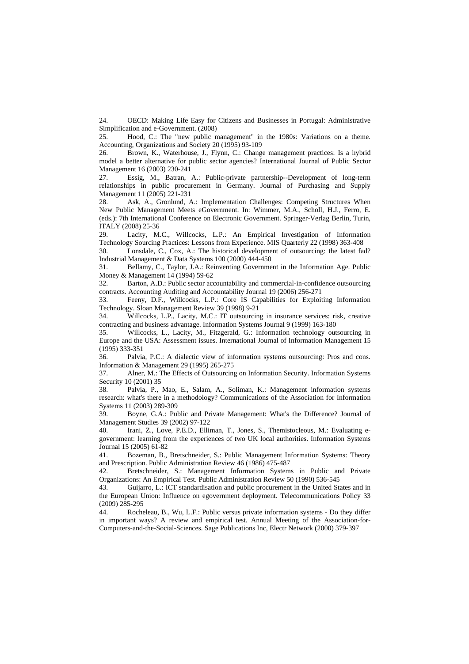24. OECD: Making Life Easy for Citizens and Businesses in Portugal: Administrative Simplification and e-Government. (2008)

25. Hood, C.: The "new public management" in the 1980s: Variations on a theme. Accounting, Organizations and Society 20 (1995) 93-109

26. Brown, K., Waterhouse, J., Flynn, C.: Change management practices: Is a hybrid model a better alternative for public sector agencies? International Journal of Public Sector Management 16 (2003) 230-241

27. Essig, M., Batran, A.: Public-private partnership--Development of long-term relationships in public procurement in Germany. Journal of Purchasing and Supply Management 11 (2005) 221-231

28. Ask, A., Gronlund, A.: Implementation Challenges: Competing Structures When New Public Management Meets eGovernment. In: Wimmer, M.A., Scholl, H.J., Ferro, E. (eds.): 7th International Conference on Electronic Government. Springer-Verlag Berlin, Turin, ITALY (2008) 25-36

29. Lacity, M.C., Willcocks, L.P.: An Empirical Investigation of Information Technology Sourcing Practices: Lessons from Experience. MIS Quarterly 22 (1998) 363-408

30. Lonsdale, C., Cox, A.: The historical development of outsourcing: the latest fad? Industrial Management & Data Systems 100 (2000) 444-450

31. Bellamy, C., Taylor, J.A.: Reinventing Government in the Information Age. Public Money & Management 14 (1994) 59-62

32. Barton, A.D.: Public sector accountability and commercial-in-confidence outsourcing contracts. Accounting Auditing and Accountability Journal 19 (2006) 256-271

33. Feeny, D.F., Willcocks, L.P.: Core IS Capabilities for Exploiting Information Technology. Sloan Management Review 39 (1998) 9-21

34. Willcocks, L.P., Lacity, M.C.: IT outsourcing in insurance services: risk, creative contracting and business advantage. Information Systems Journal 9 (1999) 163-180

35. Willcocks, L., Lacity, M., Fitzgerald, G.: Information technology outsourcing in Europe and the USA: Assessment issues. International Journal of Information Management 15 (1995) 333-351

36. Palvia, P.C.: A dialectic view of information systems outsourcing: Pros and cons. Information & Management 29 (1995) 265-275

37. Alner, M.: The Effects of Outsourcing on Information Security. Information Systems Security 10 (2001) 35

38. Palvia, P., Mao, E., Salam, A., Soliman, K.: Management information systems research: what's there in a methodology? Communications of the Association for Information Systems 11 (2003) 289-309

39. Boyne, G.A.: Public and Private Management: What's the Difference? Journal of Management Studies 39 (2002) 97-122

40. Irani, Z., Love, P.E.D., Elliman, T., Jones, S., Themistocleous, M.: Evaluating egovernment: learning from the experiences of two UK local authorities. Information Systems Journal 15 (2005) 61-82

41. Bozeman, B., Bretschneider, S.: Public Management Information Systems: Theory and Prescription. Public Administration Review 46 (1986) 475-487

42. Bretschneider, S.: Management Information Systems in Public and Private Organizations: An Empirical Test. Public Administration Review 50 (1990) 536-545

43. Guijarro, L.: ICT standardisation and public procurement in the United States and in the European Union: Influence on egovernment deployment. Telecommunications Policy 33 (2009) 285-295

44. Rocheleau, B., Wu, L.F.: Public versus private information systems - Do they differ in important ways? A review and empirical test. Annual Meeting of the Association-for-Computers-and-the-Social-Sciences. Sage Publications Inc, Electr Network (2000) 379-397